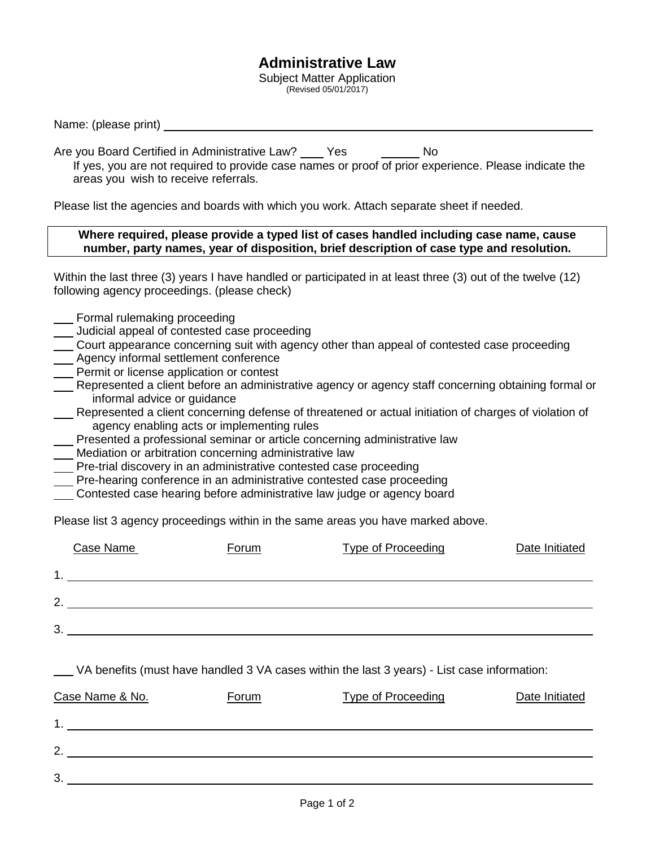## **Administrative Law**

Subject Matter Application (Revised 05/01/2017)

Name: (please print)

Are you Board Certified in Administrative Law? Yes No

If yes, you are not required to provide case names or proof of prior experience. Please indicate the areas you wish to receive referrals.

Please list the agencies and boards with which you work. Attach separate sheet if needed.

## **Where required, please provide a typed list of cases handled including case name, cause number, party names, year of disposition, brief description of case type and resolution.**

Within the last three (3) years I have handled or participated in at least three (3) out of the twelve (12) following agency proceedings. (please check)

- Formal rulemaking proceeding
- Judicial appeal of contested case proceeding
- Court appearance concerning suit with agency other than appeal of contested case proceeding
- Agency informal settlement conference
- Permit or license application or contest
- Represented a client before an administrative agency or agency staff concerning obtaining formal or informal advice or guidance
- Represented a client concerning defense of threatened or actual initiation of charges of violation of agency enabling acts or implementing rules
- Presented a professional seminar or article concerning administrative law
- **Mediation or arbitration concerning administrative law**
- Pre-trial discovery in an administrative contested case proceeding
- Pre-hearing conference in an administrative contested case proceeding
- Contested case hearing before administrative law judge or agency board

Please list 3 agency proceedings within in the same areas you have marked above.

|                | Case Name | Forum | <b>Type of Proceeding</b> | Date Initiated |
|----------------|-----------|-------|---------------------------|----------------|
| 1              |           |       |                           |                |
| $\overline{2}$ |           |       |                           |                |
| 3              |           |       |                           |                |
|                |           |       |                           |                |

| VA benefits (must have handled 3 VA cases within the last 3 years) - List case information: |  |
|---------------------------------------------------------------------------------------------|--|
|---------------------------------------------------------------------------------------------|--|

| Case Name & No. | <b>Forum</b> | <b>Type of Proceeding</b> | Date Initiated |
|-----------------|--------------|---------------------------|----------------|
| -1              |              |                           |                |
| $\mathcal{D}$   |              |                           |                |
| 3               |              |                           |                |
|                 |              |                           |                |